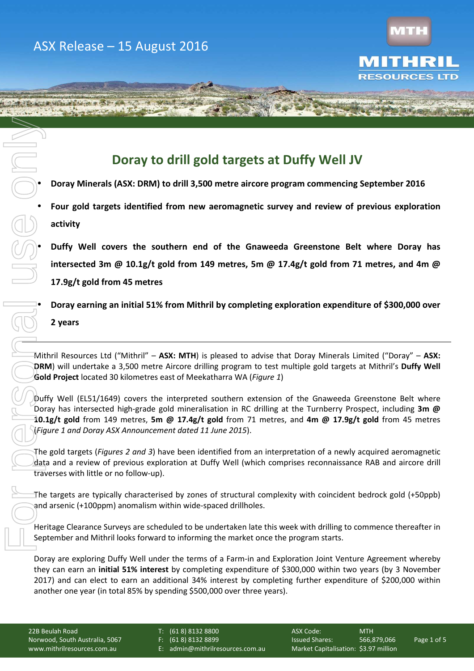SAND DOWN COURT AND CA



**ITD** 

# **Doray to drill gold targets at Duffy Well JV**

• **Doray Minerals (ASX: DRM) to drill 3,500 metre aircore program commencing September 2016** 

• **Four gold targets identified from new aeromagnetic survey and review of previous exploration activity** 

• **Duffy Well covers the southern end of the Gnaweeda Greenstone Belt where Doray has intersected 3m @ 10.1g/t gold from 149 metres, 5m @ 17.4g/t gold from 71 metres, and 4m @ 17.9g/t gold from 45 metres** 

• **Doray earning an initial 51% from Mithril by completing exploration expenditure of \$300,000 over** 

## **2 years**

Mithril Resources Ltd ("Mithril" – **ASX: MTH**) is pleased to advise that Doray Minerals Limited ("Doray" – **ASX: DRM**) will undertake a 3,500 metre Aircore drilling program to test multiple gold targets at Mithril's **Duffy Well Gold Project** located 30 kilometres east of Meekatharra WA (*Figure 1*)

Duffy Well (EL51/1649) covers the interpreted southern extension of the Gnaweeda Greenstone Belt where Doray has intersected high-grade gold mineralisation in RC drilling at the Turnberry Prospect, including **3m @ 10.1g/t gold** from 149 metres, **5m @ 17.4g/t gold** from 71 metres, and **4m @ 17.9g/t gold** from 45 metres (*Figure 1 and Doray ASX Announcement dated 11 June 2015*). For personal use only

The gold targets (*Figures 2 and 3*) have been identified from an interpretation of a newly acquired aeromagnetic data and a review of previous exploration at Duffy Well (which comprises reconnaissance RAB and aircore drill traverses with little or no follow-up).

The targets are typically characterised by zones of structural complexity with coincident bedrock gold (+50ppb) and arsenic (+100ppm) anomalism within wide-spaced drillholes.

Heritage Clearance Surveys are scheduled to be undertaken late this week with drilling to commence thereafter in September and Mithril looks forward to informing the market once the program starts.

Doray are exploring Duffy Well under the terms of a Farm-in and Exploration Joint Venture Agreement whereby they can earn an **initial 51% interest** by completing expenditure of \$300,000 within two years (by 3 November 2017) and can elect to earn an additional 34% interest by completing further expenditure of \$200,000 within another one year (in total 85% by spending \$500,000 over three years).

22B Beulah Road T: (61 8) 8132 8800 ASX Code: MTH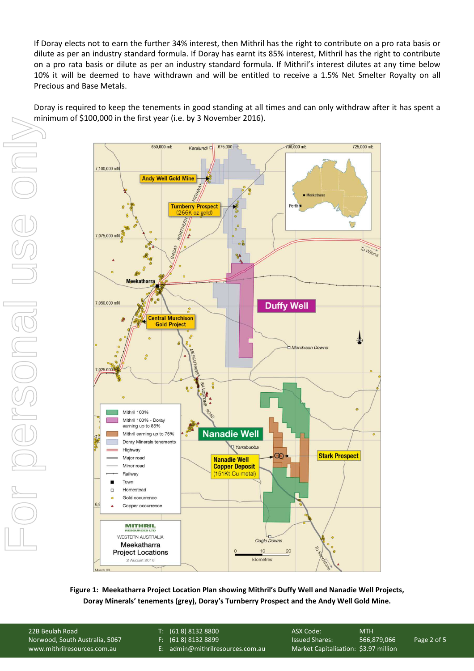If Doray elects not to earn the further 34% interest, then Mithril has the right to contribute on a pro rata basis or dilute as per an industry standard formula. If Doray has earnt its 85% interest, Mithril has the right to contribute on a pro rata basis or dilute as per an industry standard formula. If Mithril's interest dilutes at any time below 10% it will be deemed to have withdrawn and will be entitled to receive a 1.5% Net Smelter Royalty on all Precious and Base Metals.

Doray is required to keep the tenements in good standing at all times and can only withdraw after it has spent a minimum of \$100,000 in the first year (i.e. by 3 November 2016).



**Figure 1: Meekatharra Project Location Plan showing Mithril's Duffy Well and Nanadie Well Projects, Doray Minerals' tenements (grey), Doray's Turnberry Prospect and the Andy Well Gold Mine.** 

22B Beulah Road T: (61 8) 8132 8800 ASX Code: MTH

- 
- 

Norwood, South Australia, 5067 F: (61 8) 8132 8899 Issued Shares: 566,879,066 Page 2 of 5 www.mithrilresources.com.au E: admin@mithrilresources.com.au Market Capitalisation: \$3.97 million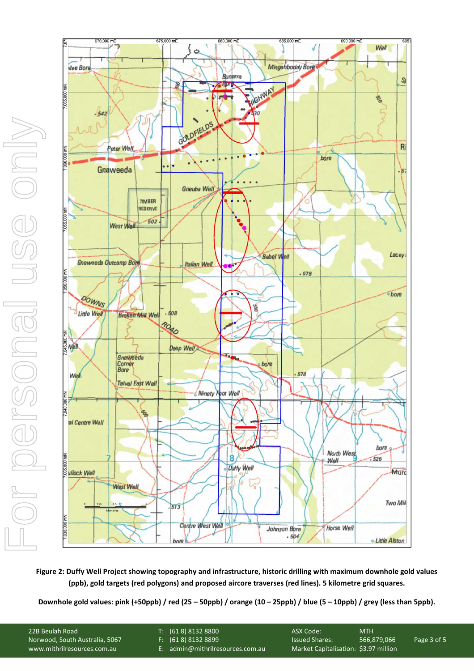

**Figure 2: Duffy Well Project showing topography and infrastructure, historic drilling with maximum downhole gold values (ppb), gold targets (red polygons) and proposed aircore traverses (red lines). 5 kilometre grid squares.** 

| F: (618)81328899<br>Norwood, South Australia, 5067<br>566.879.066<br><b>Issued Shares:</b>               | Page 3 of 5 |
|----------------------------------------------------------------------------------------------------------|-------------|
| Market Capitalisation: \$3.97 million<br>E: admin@mithrilresources.com.au<br>www.mithrilresources.com.au |             |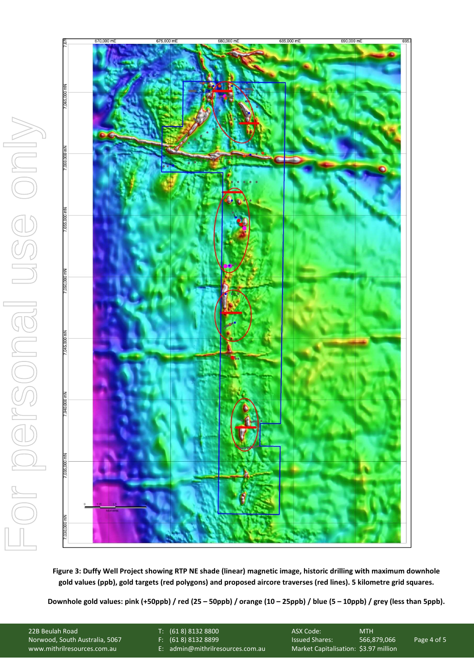

**Figure 3: Duffy Well Project showing RTP NE shade (linear) magnetic image, historic drilling with maximum downhole gold values (ppb), gold targets (red polygons) and proposed aircore traverses (red lines). 5 kilometre grid squares.** 

**ENDS Downhole gold values: pink (+50ppb) / red (25 – 50ppb) / orange (10 – 25ppb) / blue (5 – 10ppb) / grey (less than 5ppb).** 

22B Beulah Road T: (61 8) 8132 8800 ASX Code: MTH

- 
- 

Norwood, South Australia, 5067 F: (61 8) 8132 8899 Issued Shares: 566,879,066 Page 4 of 5 www.mithrilresources.com.au E: admin@mithrilresources.com.au Market Capitalisation: \$3.97 million